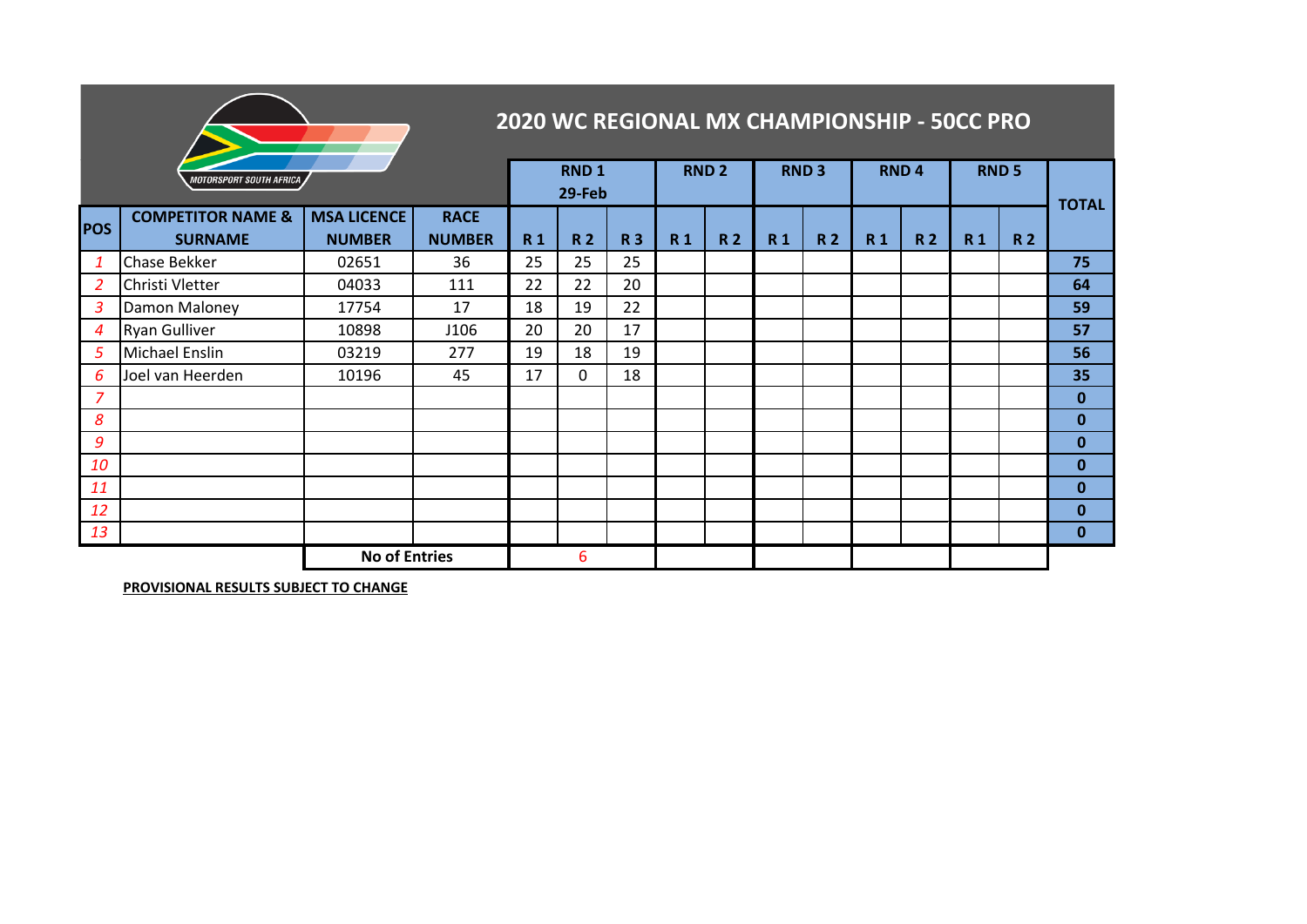|                | 2020 WC REGIONAL MX CHAMPIONSHIP - 50CC PRO    |                                     |                              |           |             |           |             |           |                  |           |              |           |              |           |              |
|----------------|------------------------------------------------|-------------------------------------|------------------------------|-----------|-------------|-----------|-------------|-----------|------------------|-----------|--------------|-----------|--------------|-----------|--------------|
|                | MOTORSPORT SOUTH AFRICA                        | <b>RND1</b><br>29-Feb               |                              |           | <b>RND2</b> |           | <b>RND3</b> |           | RND <sub>4</sub> |           | <b>RND 5</b> |           | <b>TOTAL</b> |           |              |
| <b>POS</b>     | <b>COMPETITOR NAME &amp;</b><br><b>SURNAME</b> | <b>MSA LICENCE</b><br><b>NUMBER</b> | <b>RACE</b><br><b>NUMBER</b> | <b>R1</b> | <b>R2</b>   | <b>R3</b> | <b>R1</b>   | <b>R2</b> | <b>R1</b>        | <b>R2</b> | <b>R1</b>    | <b>R2</b> | <b>R1</b>    | <b>R2</b> |              |
| 1              | Chase Bekker                                   | 02651                               | 36                           | 25        | 25          | 25        |             |           |                  |           |              |           |              |           | 75           |
| $\overline{2}$ | Christi Vletter                                | 04033                               | 111                          | 22        | 22          | 20        |             |           |                  |           |              |           |              |           | 64           |
| 3              | Damon Maloney                                  | 17754                               | 17                           | 18        | 19          | 22        |             |           |                  |           |              |           |              |           | 59           |
| 4              | <b>Ryan Gulliver</b>                           | 10898                               | J106                         | 20        | 20          | 17        |             |           |                  |           |              |           |              |           | 57           |
| 5              | Michael Enslin                                 | 03219                               | 277                          | 19        | 18          | 19        |             |           |                  |           |              |           |              |           | 56           |
| 6              | Joel van Heerden                               | 10196                               | 45                           | 17        | 0           | 18        |             |           |                  |           |              |           |              |           | 35           |
| 7              |                                                |                                     |                              |           |             |           |             |           |                  |           |              |           |              |           | $\mathbf 0$  |
| 8              |                                                |                                     |                              |           |             |           |             |           |                  |           |              |           |              |           | $\mathbf{0}$ |
| 9              |                                                |                                     |                              |           |             |           |             |           |                  |           |              |           |              |           | $\bf{0}$     |
| 10             |                                                |                                     |                              |           |             |           |             |           |                  |           |              |           |              |           | $\bf{0}$     |
| 11             |                                                |                                     |                              |           |             |           |             |           |                  |           |              |           |              |           | $\bf{0}$     |
| 12             |                                                |                                     |                              |           |             |           |             |           |                  |           |              |           |              |           | 0            |
| 13             |                                                |                                     |                              |           |             |           |             |           |                  |           |              |           |              |           | $\bf{0}$     |
|                | <b>No of Entries</b>                           |                                     |                              |           | 6           |           |             |           |                  |           |              |           |              |           |              |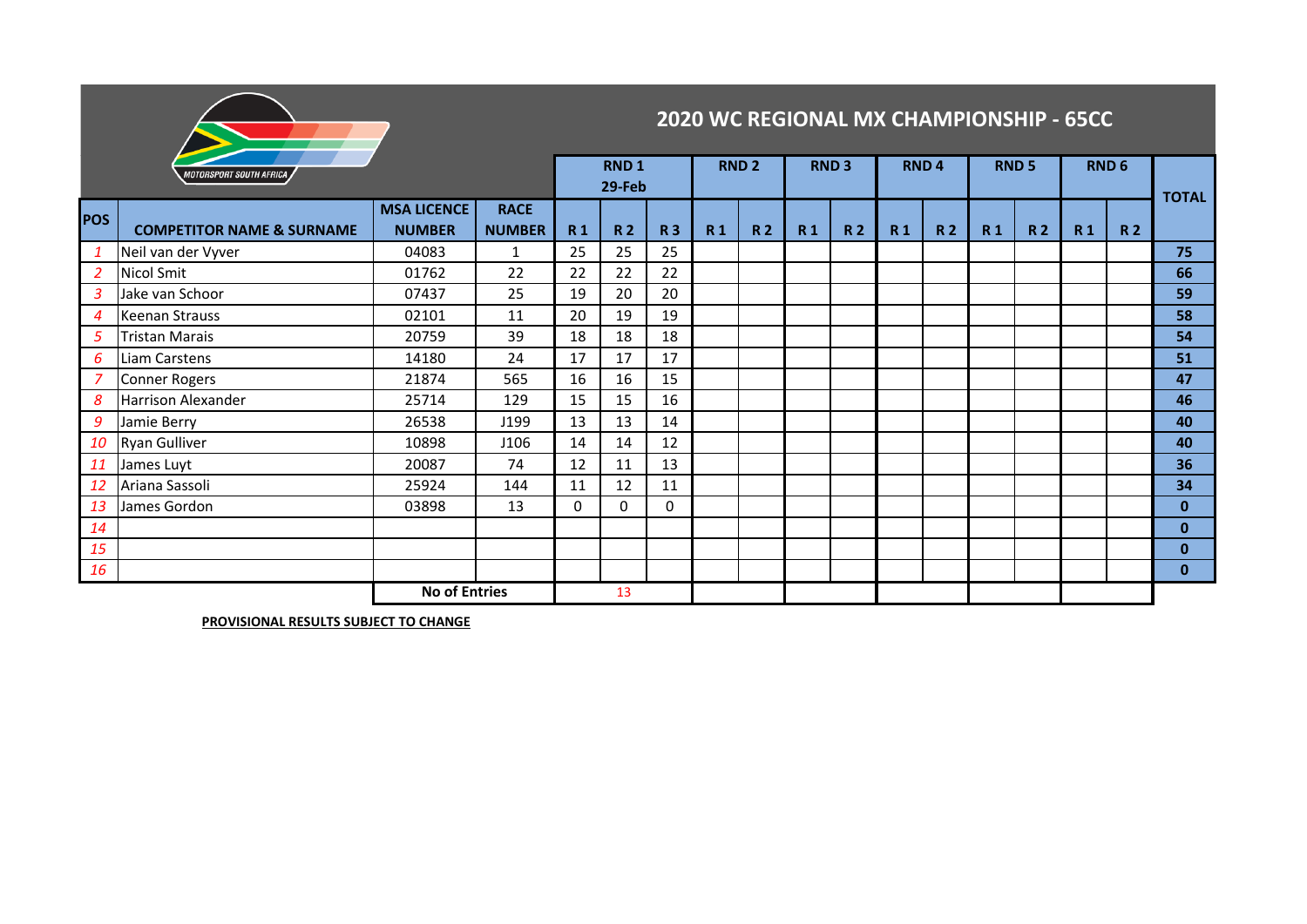

## **2020 WC REGIONAL MX CHAMPIONSHIP - 65CC**

| <b>MOTORSPORT SOUTH AFRICA</b> |                                      |                                     |                              |           | <b>RND1</b><br>29-Feb |           |           | <b>RND 2</b>   |                | <b>RND3</b>    |                | RND <sub>4</sub> |                | <b>RND5</b>    | RND <sub>6</sub> |                | <b>TOTAL</b> |
|--------------------------------|--------------------------------------|-------------------------------------|------------------------------|-----------|-----------------------|-----------|-----------|----------------|----------------|----------------|----------------|------------------|----------------|----------------|------------------|----------------|--------------|
| <b>POS</b>                     | <b>COMPETITOR NAME &amp; SURNAME</b> | <b>MSA LICENCE</b><br><b>NUMBER</b> | <b>RACE</b><br><b>NUMBER</b> | <b>R1</b> | <b>R2</b>             | <b>R3</b> | <b>R1</b> | R <sub>2</sub> | R <sub>1</sub> | R <sub>2</sub> | R <sub>1</sub> | R <sub>2</sub>   | R <sub>1</sub> | R <sub>2</sub> | R <sub>1</sub>   | R <sub>2</sub> |              |
| $\mathbf{1}$                   | Neil van der Vyver                   | 04083                               | 1                            | 25        | 25                    | 25        |           |                |                |                |                |                  |                |                |                  |                | 75           |
| 2                              | Nicol Smit                           | 01762                               | 22                           | 22        | 22                    | 22        |           |                |                |                |                |                  |                |                |                  |                | 66           |
| 3                              | Jake van Schoor                      | 07437                               | 25                           | 19        | 20                    | 20        |           |                |                |                |                |                  |                |                |                  |                | 59           |
| $\overline{4}$                 | <b>Keenan Strauss</b>                | 02101                               | 11                           | 20        | 19                    | 19        |           |                |                |                |                |                  |                |                |                  |                | 58           |
| 5                              | <b>Tristan Marais</b>                | 20759                               | 39                           | 18        | 18                    | 18        |           |                |                |                |                |                  |                |                |                  |                | 54           |
| 6                              | Liam Carstens                        | 14180                               | 24                           | 17        | 17                    | 17        |           |                |                |                |                |                  |                |                |                  |                | 51           |
|                                | <b>Conner Rogers</b>                 | 21874                               | 565                          | 16        | 16                    | 15        |           |                |                |                |                |                  |                |                |                  |                | 47           |
| 8                              | Harrison Alexander                   | 25714                               | 129                          | 15        | 15                    | 16        |           |                |                |                |                |                  |                |                |                  |                | 46           |
| 9                              | Jamie Berry                          | 26538                               | J199                         | 13        | 13                    | 14        |           |                |                |                |                |                  |                |                |                  |                | 40           |
| 10                             | <b>Ryan Gulliver</b>                 | 10898                               | J106                         | 14        | 14                    | 12        |           |                |                |                |                |                  |                |                |                  |                | 40           |
| 11                             | James Luyt                           | 20087                               | 74                           | 12        | 11                    | 13        |           |                |                |                |                |                  |                |                |                  |                | 36           |
| 12                             | Ariana Sassoli                       | 25924                               | 144                          | 11        | 12                    | 11        |           |                |                |                |                |                  |                |                |                  |                | 34           |
| 13                             | James Gordon                         | 03898                               | 13                           | 0         | 0                     | 0         |           |                |                |                |                |                  |                |                |                  |                | $\mathbf{0}$ |
| 14                             |                                      |                                     |                              |           |                       |           |           |                |                |                |                |                  |                |                |                  |                | $\mathbf{0}$ |
| 15                             |                                      |                                     |                              |           |                       |           |           |                |                |                |                |                  |                |                |                  |                | $\mathbf{0}$ |
| 16                             |                                      |                                     |                              |           |                       |           |           |                |                |                |                |                  |                |                |                  |                | $\mathbf{0}$ |
| <b>No of Entries</b>           |                                      |                                     |                              |           | 13                    |           |           |                |                |                |                |                  |                |                |                  |                |              |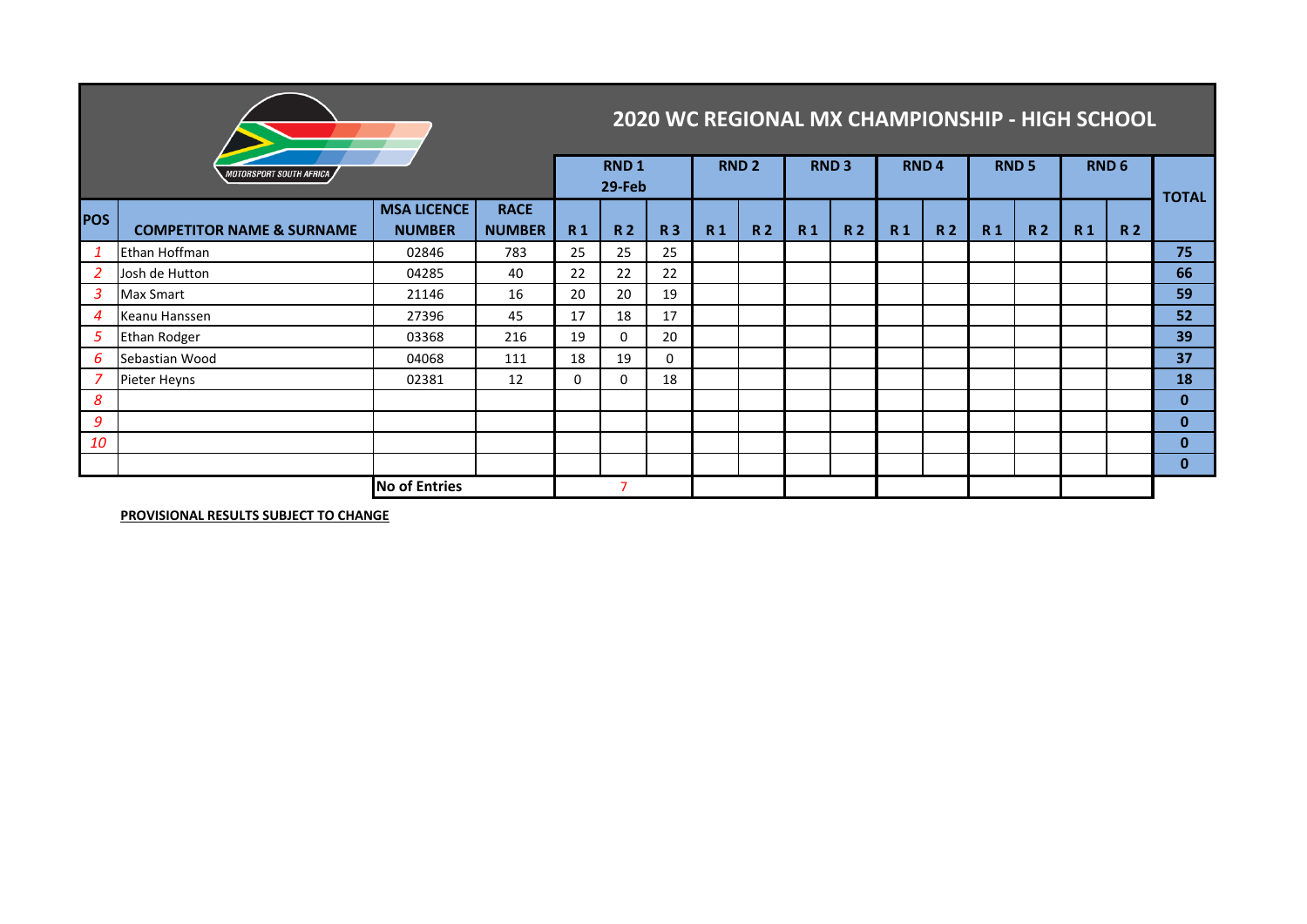|                      | <b>2020 WC REGIONAL MX CHAMPIONSHIP - HIGH SCHOOL</b> |                                     |                              |           |                  |           |             |                |                  |           |                |           |                  |           |                |           |              |
|----------------------|-------------------------------------------------------|-------------------------------------|------------------------------|-----------|------------------|-----------|-------------|----------------|------------------|-----------|----------------|-----------|------------------|-----------|----------------|-----------|--------------|
|                      | <i>MOTORSPORT SOUTH AFRICA</i>                        | <b>RND1</b><br>29-Feb               |                              |           | RND <sub>2</sub> |           | <b>RND3</b> |                | RND <sub>4</sub> |           | <b>RND 5</b>   |           | RND <sub>6</sub> |           | <b>TOTAL</b>   |           |              |
| <b>POS</b>           | <b>COMPETITOR NAME &amp; SURNAME</b>                  | <b>MSA LICENCE</b><br><b>NUMBER</b> | <b>RACE</b><br><b>NUMBER</b> | <b>R1</b> | <b>R2</b>        | <b>R3</b> | <b>R1</b>   | R <sub>2</sub> | <b>R1</b>        | <b>R2</b> | R <sub>1</sub> | <b>R2</b> | <b>R1</b>        | <b>R2</b> | R <sub>1</sub> | <b>R2</b> |              |
| $\mathbf{1}$         | Ethan Hoffman                                         | 02846                               | 783                          | 25        | 25               | 25        |             |                |                  |           |                |           |                  |           |                |           | 75           |
| 2                    | Josh de Hutton                                        | 04285                               | 40                           | 22        | 22               | 22        |             |                |                  |           |                |           |                  |           |                |           | 66           |
| 3                    | Max Smart                                             | 21146                               | 16                           | 20        | 20               | 19        |             |                |                  |           |                |           |                  |           |                |           | 59           |
| $\overline{4}$       | Keanu Hanssen                                         | 27396                               | 45                           | 17        | 18               | 17        |             |                |                  |           |                |           |                  |           |                |           | 52           |
| 5                    | <b>Ethan Rodger</b>                                   | 03368                               | 216                          | 19        | 0                | 20        |             |                |                  |           |                |           |                  |           |                |           | 39           |
| 6                    | Sebastian Wood                                        | 04068                               | 111                          | 18        | 19               | 0         |             |                |                  |           |                |           |                  |           |                |           | 37           |
| 7                    | Pieter Heyns                                          | 02381                               | 12                           | 0         | 0                | 18        |             |                |                  |           |                |           |                  |           |                |           | 18           |
| 8                    |                                                       |                                     |                              |           |                  |           |             |                |                  |           |                |           |                  |           |                |           | $\mathbf{0}$ |
| 9                    |                                                       |                                     |                              |           |                  |           |             |                |                  |           |                |           |                  |           |                |           | $\mathbf{0}$ |
| 10                   |                                                       |                                     |                              |           |                  |           |             |                |                  |           |                |           |                  |           |                |           | $\mathbf{0}$ |
|                      |                                                       |                                     |                              |           |                  |           |             |                |                  |           |                |           |                  |           |                |           | $\mathbf{0}$ |
| <b>No of Entries</b> |                                                       |                                     |                              |           |                  |           |             |                |                  |           |                |           |                  |           |                |           |              |